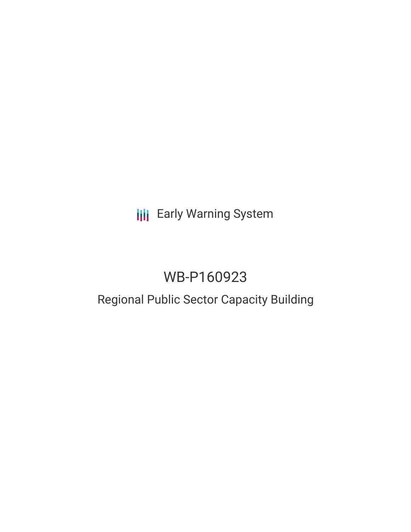# **III** Early Warning System

# WB-P160923

### Regional Public Sector Capacity Building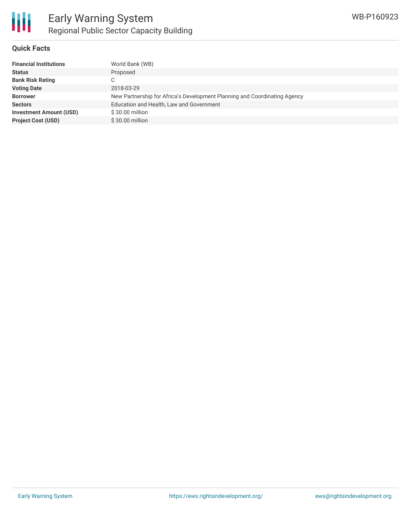

#### **Quick Facts**

| World Bank (WB)                                                           |
|---------------------------------------------------------------------------|
| Proposed                                                                  |
|                                                                           |
| 2018-03-29                                                                |
| New Partnership for Africa's Development Planning and Coordinating Agency |
| Education and Health, Law and Government                                  |
| \$30.00 million                                                           |
| \$30.00 million                                                           |
|                                                                           |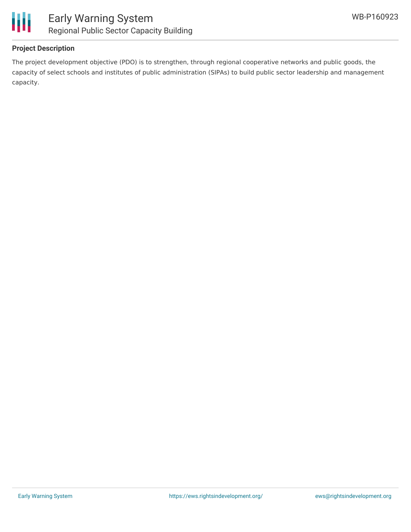



#### **Project Description**

The project development objective (PDO) is to strengthen, through regional cooperative networks and public goods, the capacity of select schools and institutes of public administration (SIPAs) to build public sector leadership and management capacity.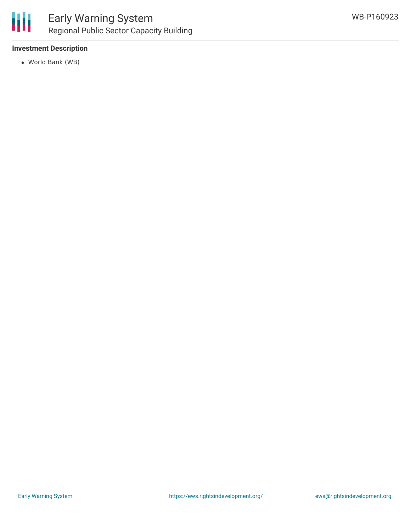

#### **Investment Description**

World Bank (WB)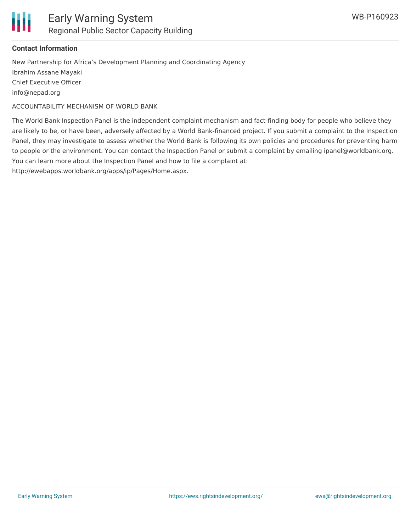

#### **Contact Information**

New Partnership for Africa's Development Planning and Coordinating Agency Ibrahim Assane Mayaki Chief Executive Officer info@nepad.org

ACCOUNTABILITY MECHANISM OF WORLD BANK

The World Bank Inspection Panel is the independent complaint mechanism and fact-finding body for people who believe they are likely to be, or have been, adversely affected by a World Bank-financed project. If you submit a complaint to the Inspection Panel, they may investigate to assess whether the World Bank is following its own policies and procedures for preventing harm to people or the environment. You can contact the Inspection Panel or submit a complaint by emailing ipanel@worldbank.org. You can learn more about the Inspection Panel and how to file a complaint at:

http://ewebapps.worldbank.org/apps/ip/Pages/Home.aspx.